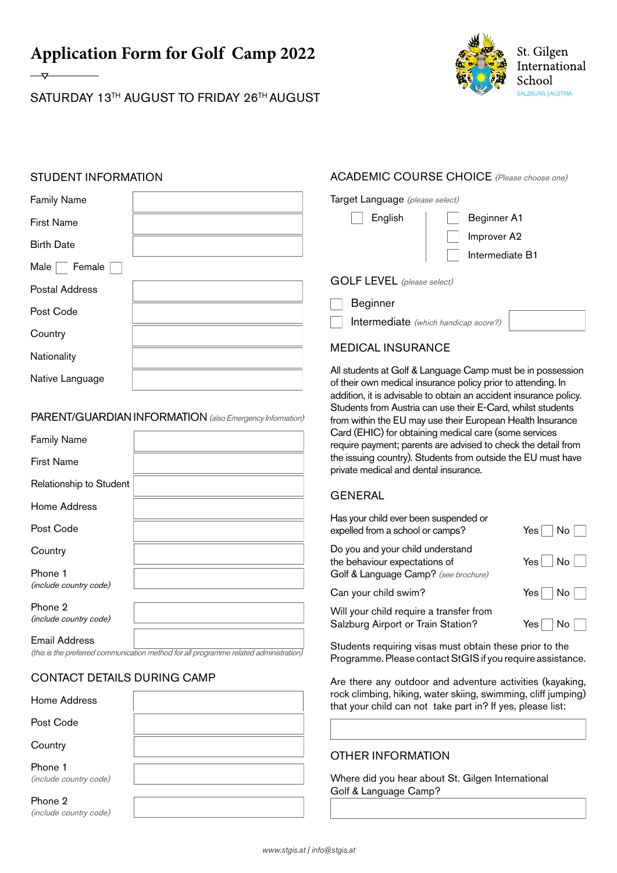**Application Form for Golf Camp 2022** 

SATURDAY 13TH AUGUST TO FRIDAY 26TH AUGUST



## STUDENT INFORMATION

| <b>Family Name</b>    | Target Language (please select)             |                                                                                                                          |
|-----------------------|---------------------------------------------|--------------------------------------------------------------------------------------------------------------------------|
| <b>First Name</b>     | English                                     | Beginner A1                                                                                                              |
| <b>Birth Date</b>     |                                             | Improver A2                                                                                                              |
| Male<br>Female        |                                             | Intermediate B1                                                                                                          |
|                       | <b>GOLF LEVEL</b> (please select)           |                                                                                                                          |
| <b>Postal Address</b> |                                             |                                                                                                                          |
| Post Code             | <b>Beginner</b>                             |                                                                                                                          |
|                       | <b>Intermediate</b> (which handicap score?) |                                                                                                                          |
| Country               |                                             |                                                                                                                          |
| Nationality           | <b>MEDICAL INSURANCE</b>                    |                                                                                                                          |
| Native Language       |                                             | All students at Golf & Language Camp must be in possessio<br>of their own medical insurance policy prior to attending In |

#### PARENT/GUARDIAN INFORMATION (also Emergency Information)

| <b>Family Name</b>                |  |
|-----------------------------------|--|
| <b>First Name</b>                 |  |
| Relationship to Student           |  |
| Home Address                      |  |
| Post Code                         |  |
| Country                           |  |
| Phone 1<br>(include country code) |  |
| Phone 2<br>(include country code) |  |
| Email Address                     |  |

(this is the preferred communication method for all programme related administration)

## CONTACT DETAILS DURING CAMP

| Home Address                      |  |
|-----------------------------------|--|
| Post Code                         |  |
| Country                           |  |
| Phone 1<br>(include country code) |  |
| Phone 2<br>(include country code) |  |

# ACADEMIC COURSE CHOICE (Please choose one)

All students at Golf & Language Camp must be in possession of their own medical insurance policy prior to attending. In addition, it is advisable to obtain an accident insurance policy. Students from Austria can use their E-Card, whilst students from within the EU may use their European Health Insurance Card (EHIC) for obtaining medical care (some services require payment; parents are advised to check the detail from the issuing country). Students from outside the EU must have private medical and dental insurance.

### GENERAL

| Has your child ever been suspended or<br>expelled from a school or camps?                                 | No l<br>Yes⊺       |
|-----------------------------------------------------------------------------------------------------------|--------------------|
| Do you and your child understand<br>the behaviour expectations of<br>Golf & Language Camp? (see brochure) | $Yes \mid No \mid$ |
| Can your child swim?                                                                                      | Yes No             |
| Will your child require a transfer from<br>Salzburg Airport or Train Station?                             | Yes l              |

Students requiring visas must obtain these prior to the Programme. Please contact StGIS if you require assistance.

Are there any outdoor and adventure activities (kayaking, rock climbing, hiking, water skiing, swimming, cliff jumping) that your child can not take part in? If yes, please list:

### OTHER INFORMATION

Where did you hear about St. Gilgen International Golf & Language Camp?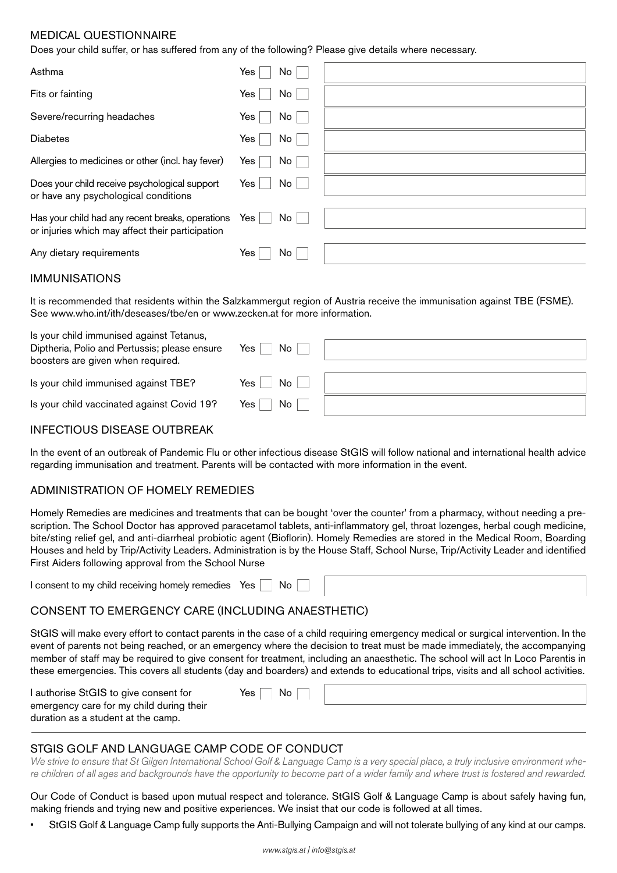## MEDICAL QUESTIONNAIRE

Does your child suffer, or has suffered from any of the following? Please give details where necessary.

| Asthma                                                                                               | Yes<br>No     |  |
|------------------------------------------------------------------------------------------------------|---------------|--|
| Fits or fainting                                                                                     | Yes  <br>No   |  |
| Severe/recurring headaches                                                                           | Yes  <br>No l |  |
| <b>Diabetes</b>                                                                                      | No<br>Yes     |  |
| Allergies to medicines or other (incl. hay fever)                                                    | No<br>Yes l   |  |
| Does your child receive psychological support<br>or have any psychological conditions                | No<br>Yes     |  |
| Has your child had any recent breaks, operations<br>or injuries which may affect their participation | Yes $ $<br>No |  |
| Any dietary requirements                                                                             | Yes<br>No.    |  |

#### IMMUNISATIONS

It is recommended that residents within the Salzkammergut region of Austria receive the immunisation against TBE (FSME). See [www.who.int/ith/deseases/tbe/en](http://www.who.int/ith/deseases/tbe/en) or [www.zecken.at](http://www.zecken.at) for more information.

| Is your child immunised against Tetanus,<br>Diptheria, Polio and Pertussis; please ensure<br>boosters are given when required. | No<br>Yes     |  |
|--------------------------------------------------------------------------------------------------------------------------------|---------------|--|
| Is your child immunised against TBE?                                                                                           | No<br>Yes,    |  |
| Is your child vaccinated against Covid 19?                                                                                     | No<br>Yes $ $ |  |

### INFECTIOUS DISEASE OUTBREAK

In the event of an outbreak of Pandemic Flu or other infectious disease StGIS will follow national and international health advice regarding immunisation and treatment. Parents will be contacted with more information in the event.

#### ADMINISTRATION OF HOMELY REMEDIES

Homely Remedies are medicines and treatments that can be bought 'over the counter' from a pharmacy, without needing a prescription. The School Doctor has approved paracetamol tablets, anti-inflammatory gel, throat lozenges, herbal cough medicine, bite/sting relief gel, and anti-diarrheal probiotic agent (Bioflorin). Homely Remedies are stored in the Medical Room, Boarding Houses and held by Trip/Activity Leaders. Administration is by the House Staff, School Nurse, Trip/Activity Leader and identified First Aiders following approval from the School Nurse

I consent to my child receiving homely remedies Yes  $\Box$  No

## CONSENT TO EMERGENCY CARE (INCLUDING ANAESTHETIC)

StGIS will make every effort to contact parents in the case of a child requiring emergency medical or surgical intervention. In the event of parents not being reached, or an emergency where the decision to treat must be made immediately, the accompanying member of staff may be required to give consent for treatment, including an anaesthetic. The school will act In Loco Parentis in these emergencies. This covers all students (day and boarders) and extends to educational trips, visits and all school activities.

| I authorise StGIS to give consent for                                          | No<br>Yes $\overline{ }$ |  |
|--------------------------------------------------------------------------------|--------------------------|--|
| emergency care for my child during their<br>duration as a student at the camp. |                          |  |

## STGIS GOLF AND LANGUAGE CAMP CODE OF CONDUCT

*We strive to ensure that St Gilgen International School Golf & Language Camp is a very special place, a truly inclusive environment where children of all ages and backgrounds have the opportunity to become part of a wider family and where trust is fostered and rewarded.*

Our Code of Conduct is based upon mutual respect and tolerance. StGIS Golf & Language Camp is about safely having fun, making friends and trying new and positive experiences. We insist that our code is followed at all times.

• StGIS Golf & Language Camp fully supports the Anti-Bullying Campaign and will not tolerate bullying of any kind at our camps.